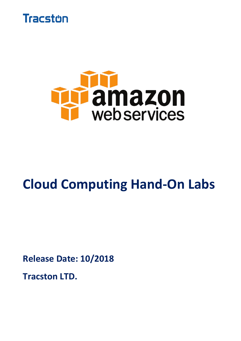



# **Cloud Computing Hand-On Labs**

**Release Date: 10/2018**

**Tracston LTD.**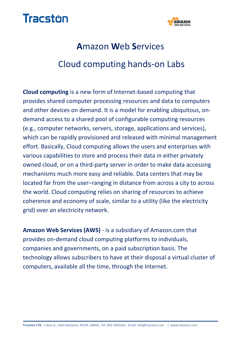



## **A**mazon **W**eb **S**ervices Cloud computing hands-on Labs

**Cloud computing** is a new form of Internet-based computing that provides shared computer processing resources and data to computers and other devices on demand. It is a model for enabling ubiquitous, ondemand access to a shared pool of configurable computing resources (e.g., computer networks, servers, storage, applications and services), which can be rapidly provisioned and released with minimal management effort. Basically, Cloud computing allows the users and enterprises with various capabilities to store and process their data in either privately owned cloud, or on a third-party server in order to make data accessing mechanisms much more easy and reliable. Data centers that may be located far from the user–ranging in distance from across a city to across the world. Cloud computing relies on sharing of resources to achieve coherence and economy of scale, similar to a utility (like the electricity grid) over an electricity network.

**Amazon Web Services (AWS)** - is a subsidiary of Amazon.com that provides on-demand cloud computing platforms to individuals, companies and governments, on a paid subscription basis. The technology allows subscribers to have at their disposal a virtual cluster of computers, available all the time, through the Internet.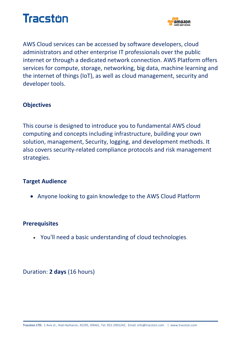



AWS Cloud services can be accessed by software developers, cloud administrators and other enterprise IT professionals over the public internet or through a dedicated network connection. AWS Platform offers services for compute, storage, networking, big data, machine learning and the internet of things (IoT), as well as cloud management, security and developer tools.

#### **Objectives**

This course is designed to introduce you to fundamental AWS cloud computing and concepts including infrastructure, building your own solution, management, Security, logging, and development methods. It also covers security-related compliance protocols and risk management strategies.

#### **Target Audience**

Anyone looking to gain knowledge to the AWS Cloud Platform

#### **Prerequisites**

You'll need a basic understanding of cloud technologies.

Duration: **2 days** (16 hours)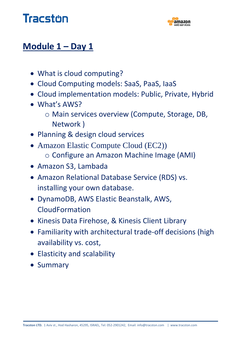



### **Module 1 – Day 1**

- What is cloud computing?
- Cloud Computing models: SaaS, PaaS, IaaS
- Cloud implementation models: Public, Private, Hybrid
- What's AWS?
	- o Main services overview (Compute, Storage, DB, Network )
- Planning & design cloud services
- Amazon Elastic Compute Cloud (EC2)) o Configure an Amazon Machine Image (AMI)
- Amazon S3, Lambada
- Amazon Relational Database Service (RDS) vs. installing your own database.
- DynamoDB, AWS Elastic Beanstalk, AWS, CloudFormation
- Kinesis Data Firehose, & Kinesis Client Library
- Familiarity with architectural trade-off decisions (high availability vs. cost,
- Elasticity and scalability
- Summary